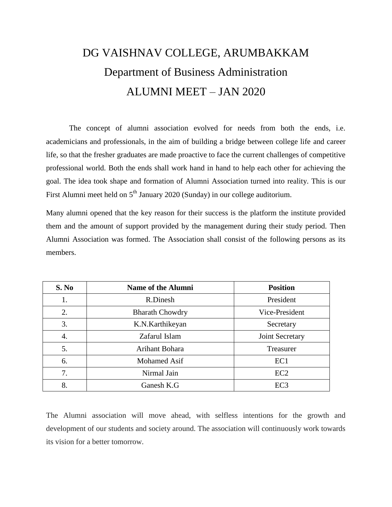## DG VAISHNAV COLLEGE, ARUMBAKKAM Department of Business Administration ALUMNI MEET – JAN 2020

The concept of alumni association evolved for needs from both the ends, i.e. academicians and professionals, in the aim of building a bridge between college life and career life, so that the fresher graduates are made proactive to face the current challenges of competitive professional world. Both the ends shall work hand in hand to help each other for achieving the goal. The idea took shape and formation of Alumni Association turned into reality. This is our First Alumni meet held on  $5<sup>th</sup>$  January 2020 (Sunday) in our college auditorium.

Many alumni opened that the key reason for their success is the platform the institute provided them and the amount of support provided by the management during their study period. Then Alumni Association was formed. The Association shall consist of the following persons as its members.

| S. No | <b>Name of the Alumni</b> | <b>Position</b> |
|-------|---------------------------|-----------------|
| 1.    | R.Dinesh                  | President       |
| 2.    | <b>Bharath Chowdry</b>    | Vice-President  |
| 3.    | K.N.Karthikeyan           | Secretary       |
| 4.    | Zafarul Islam             | Joint Secretary |
| 5.    | Arihant Bohara            | Treasurer       |
| 6.    | Mohamed Asif              | EC1             |
| 7.    | Nirmal Jain               | EC <sub>2</sub> |
| 8.    | Ganesh K.G                | EC <sub>3</sub> |

The Alumni association will move ahead, with selfless intentions for the growth and development of our students and society around. The association will continuously work towards its vision for a better tomorrow.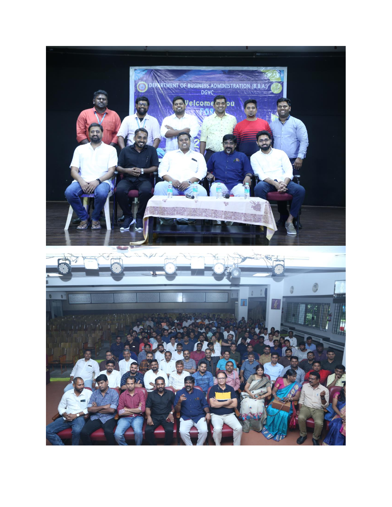